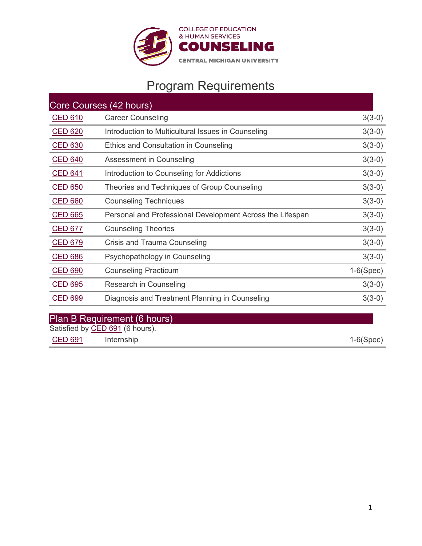

# Program Requirements

| Core Courses (42 hours) |                                                           |             |  |  |  |
|-------------------------|-----------------------------------------------------------|-------------|--|--|--|
| <u>CED 610</u>          | <b>Career Counseling</b>                                  | $3(3-0)$    |  |  |  |
| <b>CED 620</b>          | Introduction to Multicultural Issues in Counseling        | $3(3-0)$    |  |  |  |
| <b>CED 630</b>          | Ethics and Consultation in Counseling                     | $3(3-0)$    |  |  |  |
| <b>CED 640</b>          | Assessment in Counseling                                  | $3(3-0)$    |  |  |  |
| <b>CED 641</b>          | Introduction to Counseling for Addictions                 | $3(3-0)$    |  |  |  |
| <b>CED 650</b>          | Theories and Techniques of Group Counseling               | $3(3-0)$    |  |  |  |
| <b>CED 660</b>          | <b>Counseling Techniques</b>                              | $3(3-0)$    |  |  |  |
| <b>CED 665</b>          | Personal and Professional Development Across the Lifespan | $3(3-0)$    |  |  |  |
| <u>CED 677</u>          | <b>Counseling Theories</b>                                | $3(3-0)$    |  |  |  |
| <b>CED 679</b>          | Crisis and Trauma Counseling                              | $3(3-0)$    |  |  |  |
| <b>CED 686</b>          | Psychopathology in Counseling                             | $3(3-0)$    |  |  |  |
| <b>CED 690</b>          | <b>Counseling Practicum</b>                               | $1-6(Spec)$ |  |  |  |
| CED 695                 | Research in Counseling                                    | $3(3-0)$    |  |  |  |
| <b>CED 699</b>          | Diagnosis and Treatment Planning in Counseling            | $3(3-0)$    |  |  |  |
|                         |                                                           |             |  |  |  |

## Plan B Requirement (6 hours)

Satisfied by <u>[CED 691](http://cmich.smartcatalogiq.com/2021-2022/Graduate-Bulletin/Courses/CED-Counselor-Educ-Personal-Develop/600/CED-691)</u> (6 hours).

[CED 691](http://cmich.smartcatalogiq.com/2021-2022/Graduate-Bulletin/Courses/CED-Counselor-Educ-Personal-Develop/600/CED-665) Internship 1-6(Spec)